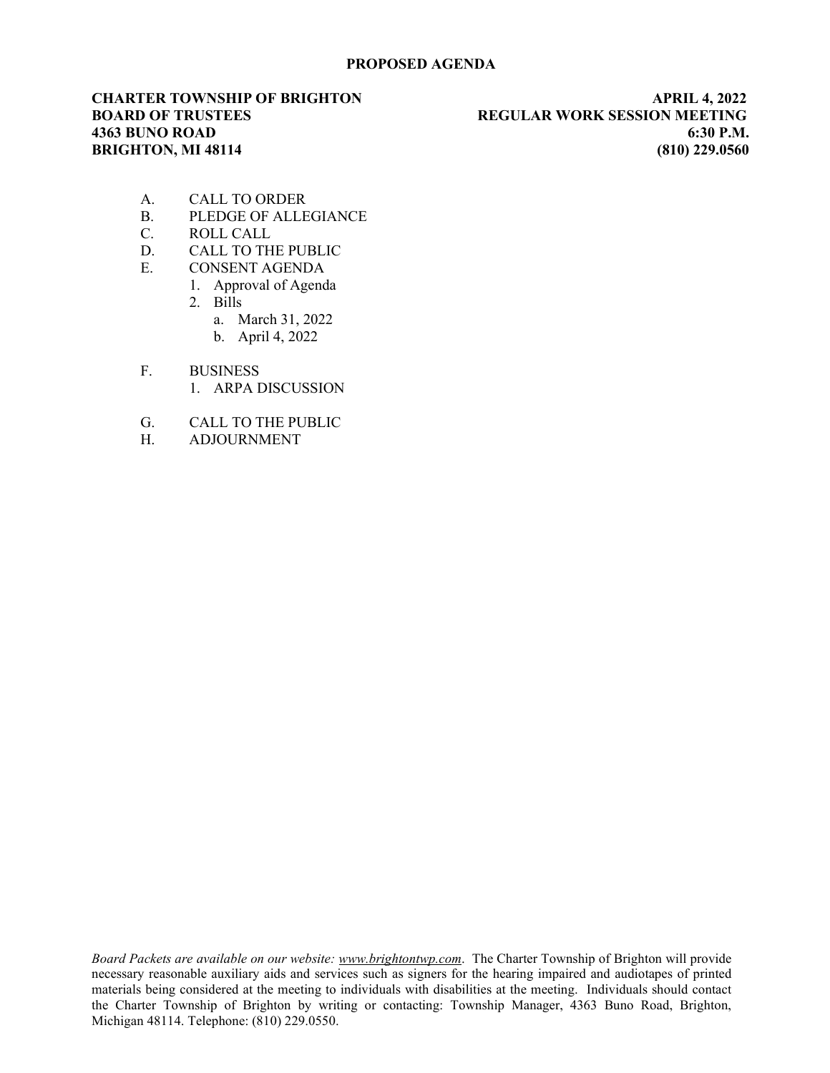# PROPOSED AGENDA

CHARTER TOWNSHIP OF BRIGHTON APRIL 4, 2022 BOARD OF TRUSTEES THE REGULAR WORK SESSION MEETING 4363 BUNO ROAD 6:30 P.M. BRIGHTON, MI 48114 (810) 229.0560

- A. CALL TO ORDER
- B. PLEDGE OF ALLEGIANCE
- C. ROLL CALL
- D. CALL TO THE PUBLIC
- E. CONSENT AGENDA
	- 1. Approval of Agenda
		- 2. Bills
			- a. March 31, 2022
			- b. April 4, 2022
- F. BUSINESS
	- 1. ARPA DISCUSSION
- G. CALL TO THE PUBLIC
- H. ADJOURNMENT

Board Packets are available on our website: www.brightontwp.com. The Charter Township of Brighton will provide necessary reasonable auxiliary aids and services such as signers for the hearing impaired and audiotapes of printed materials being considered at the meeting to individuals with disabilities at the meeting. Individuals should contact the Charter Township of Brighton by writing or contacting: Township Manager, 4363 Buno Road, Brighton, Michigan 48114. Telephone: (810) 229.0550.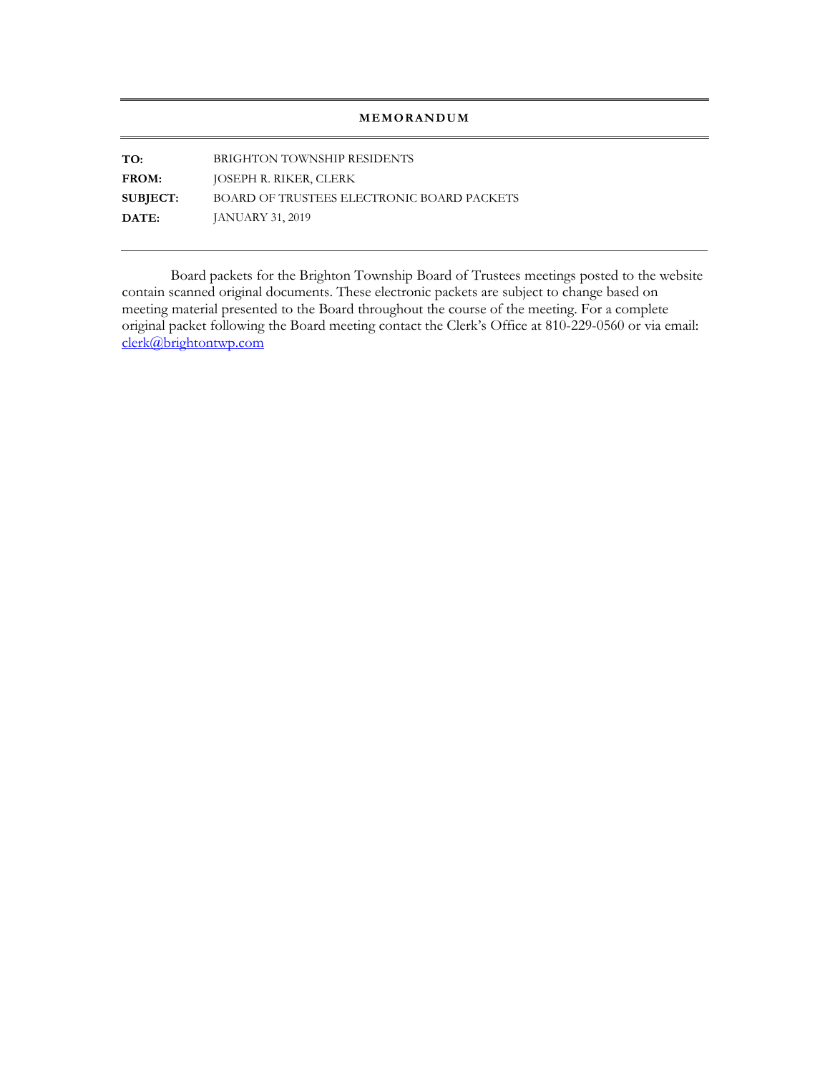# MEMORANDUM

TO: BRIGHTON TOWNSHIP RESIDENTS FROM: JOSEPH R. RIKER, CLERK SUBJECT: BOARD OF TRUSTEES ELECTRONIC BOARD PACKETS **DATE: JANUARY 31, 2019** 

Board packets for the Brighton Township Board of Trustees meetings posted to the website contain scanned original documents. These electronic packets are subject to change based on meeting material presented to the Board throughout the course of the meeting. For a complete original packet following the Board meeting contact the Clerk's Office at 810-229-0560 or via email: clerk@brightontwp.com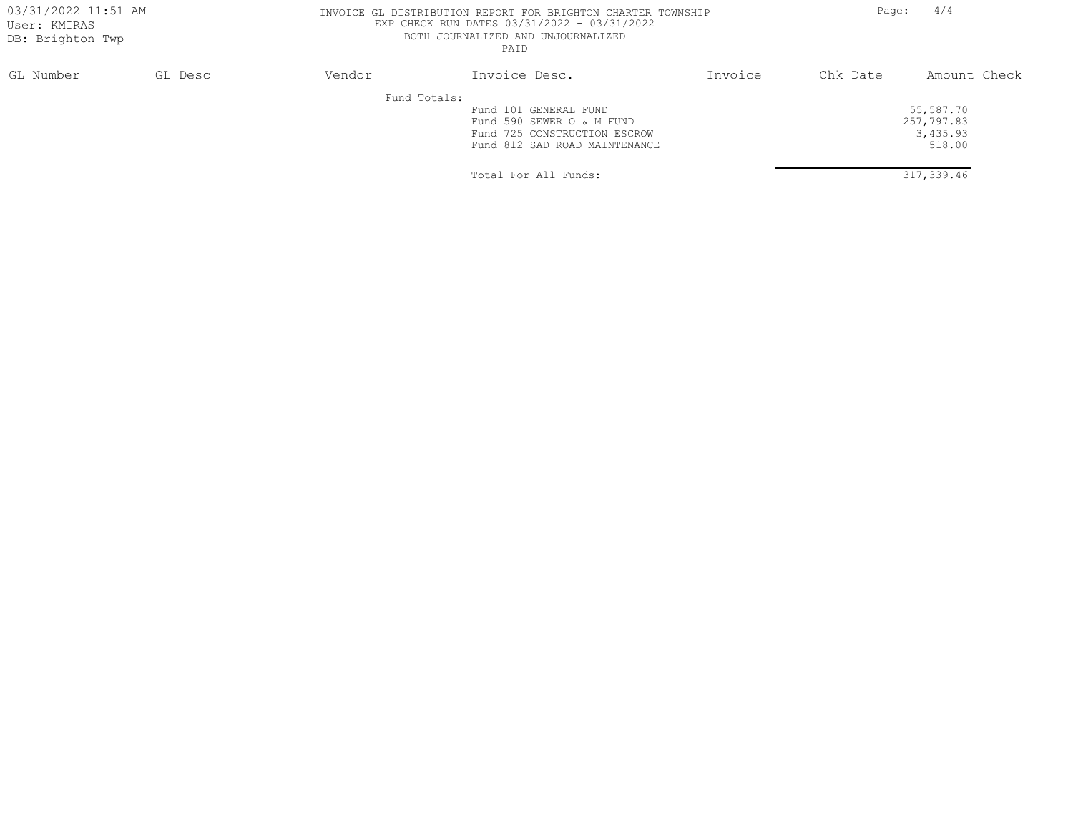### 03/31/2022 11:51 AM **INVOICE GL DISTRIBUTION REPORT FOR BRIGHTON** CHARTER TOWNSHIP Page: 4/4 EXP CHECK RUN DATES 03/31/2022 - 03/31/2022 BOTH JOURNALIZED AND UNJOURNALIZED PAID

| GL Number | GL Desc | Vendor | Invoice Desc.                 | Invoice | Chk Date | Amount Check |
|-----------|---------|--------|-------------------------------|---------|----------|--------------|
|           |         |        | Fund Totals:                  |         |          |              |
|           |         |        | Fund 101 GENERAL FUND         |         |          | 55,587.70    |
|           |         |        | Fund 590 SEWER O & M FUND     |         |          | 257,797.83   |
|           |         |        | Fund 725 CONSTRUCTION ESCROW  |         |          | 3,435.93     |
|           |         |        | Fund 812 SAD ROAD MAINTENANCE |         |          | 518.00       |
|           |         |        | Total For All Funds:          |         |          | 317,339.46   |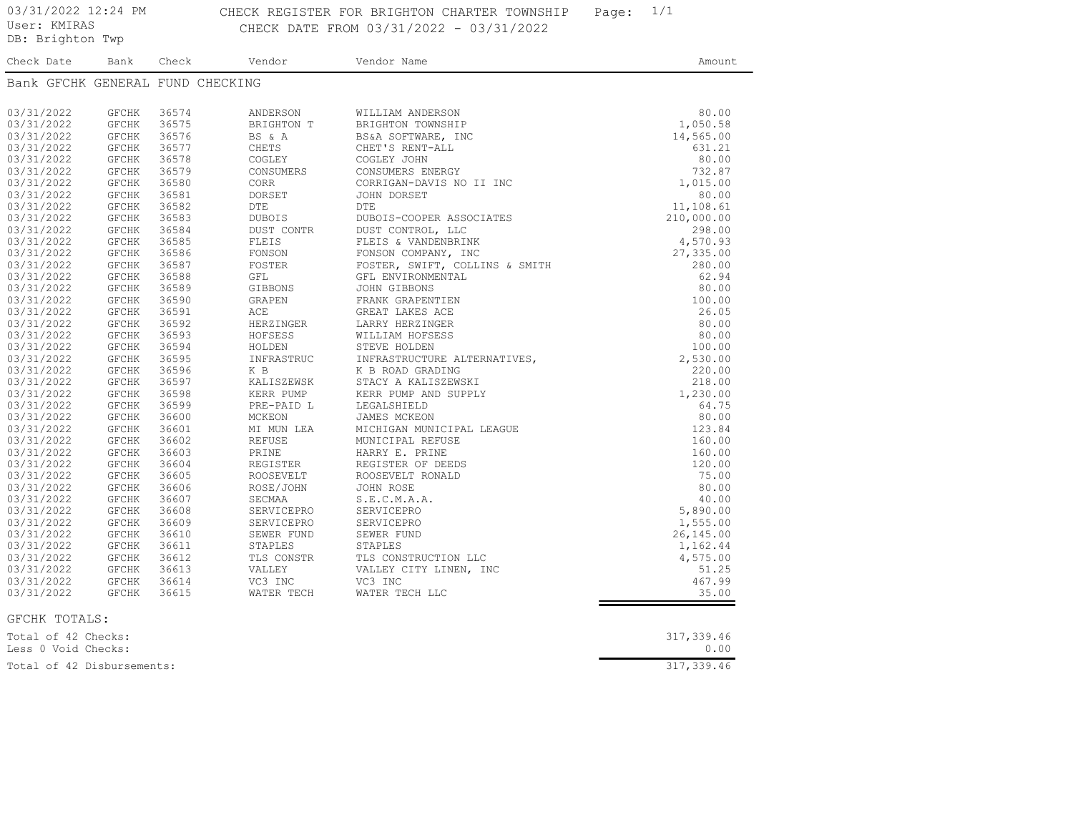03/31/2022 12:24 PM CHECK REGISTER FOR BRIGHTON CHARTER TOWNSHIP Page: 1/1 DB: Brighton Twp CHECK DATE FROM 03/31/2022 - 03/31/2022

Check Date Bank Check Vendor Vendor Name **Amount** Amount Bank GFCHK GENERAL FUND CHECKING 03/31/2022 GFCHK 36574 ANDERSON WILLIAM ANDERSON 80.00 03/31/2022 GFCHK 36575 BRIGHTON T BRIGHTON TOWNSHIP 1,050.58 03/31/2022 GFCHK 36576 BS & A BS&A SOFTWARE, INC 14,565.00 03/31/2022 GFCHK 36577 CHETS CHET'S RENT-ALL 631.21 03/31/2022 GFCHK 36578 COGLEY COGLEY JOHN 80.00 03/31/2022 GFCHK 36579 CONSUMERS CONSUMERS ENERGY 732.87 03/31/2022 GFCHK 36580 CORR CORRIGAN-DAVIS NO II INC 1,015.00 03/31/2022 GFCHK 36581 DORSET JOHN DORSET 80.00 03/31/2022 GFCHK 36582 DTE DTE DTE 11,108.61 03/31/2022 GFCHK 36583 DUBOIS DUBOIS-COOPER ASSOCIATES 210,000.00 03/31/2022 GFCHK 36584 DUST CONTR DUST CONTROL, LLC 298.00 03/31/2022 GFCHK 36585 FLEIS FLEIS & VANDENBRINK 4,570.93 03/31/2022 GFCHK 36586 FONSON FONSON COMPANY, INC 27,335.00 03/31/2022 GFCHK 36587 FOSTER FOSTER, SWIFT, COLLINS & SMITH 280.00 03/31/2022 GFCHK 36588 GFL GTL GFL ENVIRONMENTAL 62.94 03/31/2022 GFCHK 36589 GIBBONS JOHN GIBBONS 80.00 03/31/2022 GFCHK 36590 GRAPEN FRANK GRAPENTIEN 100.00 03/31/2022 GFCHK 36591 ACE GREAT LAKES ACE 26.05 03/31/2022 GFCHK 36592 HERZINGER LARRY HERZINGER 80.00 03/31/2022 GFCHK 36593 HOFSESS WILLIAM HOFSESS 80.00 03/31/2022 GFCHK 36594 HOLDEN STEVE HOLDEN 100.00 03/31/2022 GFCHK 36595 INFRASTRUC INFRASTRUCTURE ALTERNATIVES, 2,530.00 03/31/2022 GFCHK 36596 K B K B ROAD GRADING NORMAL 200.00 03/31/2022 GFCHK 36597 KALISZEWSK STACY A KALISZEWSKI 218.00 03/31/2022 GFCHK 36598 KERR PUMP KERR PUMP AND SUPPLY 1,230.00 03/31/2022 GFCHK 36599 PRE-PAID L LEGALSHIELD 64.75 03/31/2022 GFCHK 36600 MCKEON JAMES MCKEON 80.00 03/31/2022 GFCHK 36601 MI MUN LEA MICHIGAN MUNICIPAL LEAGUE 123.84 03/31/2022 GFCHK 36602 REFUSE MUNICIPAL REFUSE 160.00 03/31/2022 GFCHK 36603 PRINE HARRY E. PRINE 160.00 03/31/2022 GFCHK 36604 REGISTER REGISTER OF DEEDS 120.00 03/31/2022 GFCHK 36605 ROOSEVELT ROOSEVELT RONALD 75.00 03/31/2022 GFCHK 36606 ROSE/JOHN JOHN ROSE 80.00 03/31/2022 GFCHK 36607 SECMAA S.E.C.M.A.A. 40.00 03/31/2022 GFCHK 36608 SERVICEPRO SERVICEPRO 5,890.00 03/31/2022 GFCHK 36609 SERVICEPRO SERVICEPRO 1,555.00 03/31/2022 GFCHK 36610 SEWER FUND SEWER FUND SEWER FUND 26,145.00 03/31/2022 GFCHK 36611 STAPLES STAPLES 1,162.44 03/31/2022 GFCHK 36612 TLS CONSTRUCTION LOCK TO THE CONSTRUCTION LLC 4,575.00 03/31/2022 GFCHK 36613 VALLEY VALLEY CITY LINEN, INC 51.25 03/31/2022 GFCHK 36614 VC3 INC VC3 INC 36614 VC3 INC 03/31/2022 GFCHK 36615 WATER TECH WATER TECH LLC 35.00 GFCHK TOTALS: Total of 42 Checks: 317,339.46

| Total of 42 Checks:        | 317,339.46 |
|----------------------------|------------|
| Less O Void Checks:        |            |
| Total of 42 Disbursements: | 317,339.46 |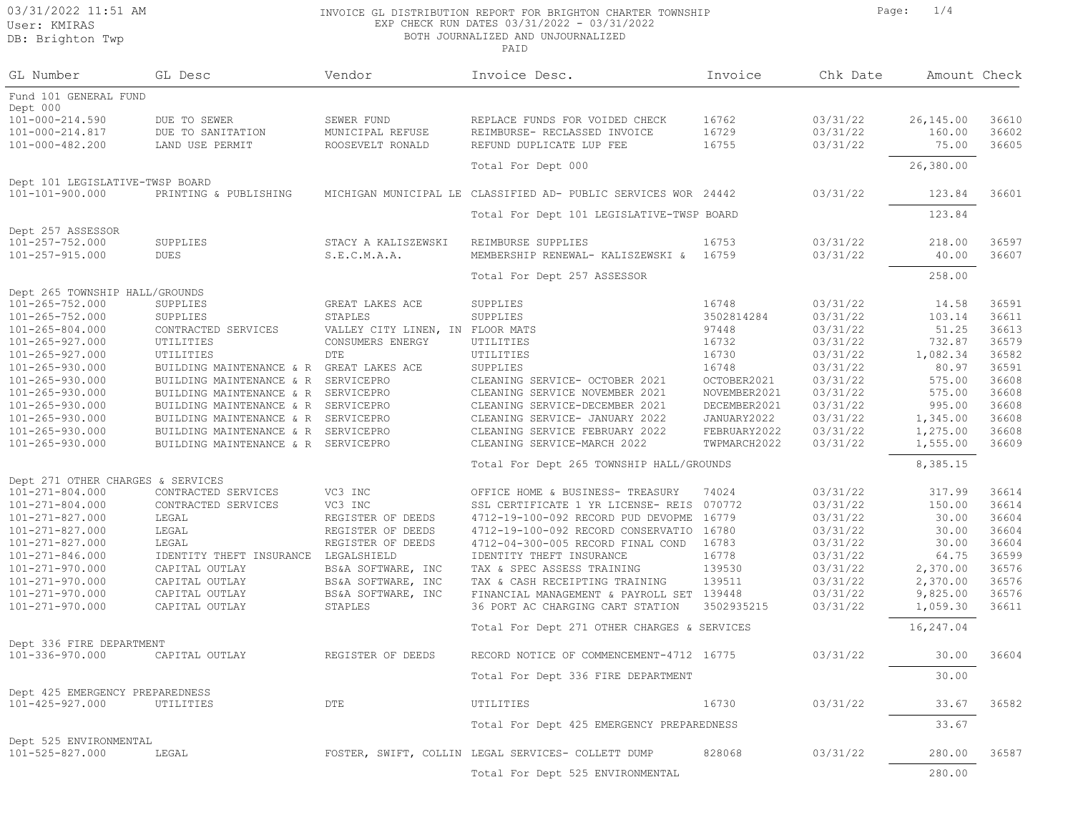### 03/31/2022 11:51 AM **INVOICE GL DISTRIBUTION REPORT FOR BRIGHTON** CHARTER TOWNSHIP Page: 1/4 EXP CHECK RUN DATES 03/31/2022 - 03/31/2022 BOTH JOURNALIZED AND UNJOURNALIZED

| GL Number                                                | GL Desc                             | Vendor                           | Invoice Desc.                                                  | Invoice      | Chk Date | Amount Check |       |
|----------------------------------------------------------|-------------------------------------|----------------------------------|----------------------------------------------------------------|--------------|----------|--------------|-------|
| Fund 101 GENERAL FUND<br>Dept 000                        |                                     |                                  |                                                                |              |          |              |       |
| 101-000-214.590                                          | DUE TO SEWER                        | SEWER FUND                       | REPLACE FUNDS FOR VOIDED CHECK                                 | 16762        | 03/31/22 | 26,145.00    | 36610 |
| $101 - 000 - 214.817$                                    | DUE TO SANITATION                   | MUNICIPAL REFUSE                 | REIMBURSE- RECLASSED INVOICE                                   | 16729        | 03/31/22 | 160.00       | 36602 |
| 101-000-482.200                                          | LAND USE PERMIT                     | ROOSEVELT RONALD                 | REFUND DUPLICATE LUP FEE                                       | 16755        | 03/31/22 | 75.00        | 36605 |
|                                                          |                                     |                                  | Total For Dept 000                                             |              |          | 26,380.00    |       |
| Dept 101 LEGISLATIVE-TWSP BOARD                          |                                     |                                  |                                                                |              |          |              |       |
| 101-101-900.000                                          | PRINTING & PUBLISHING               |                                  | MICHIGAN MUNICIPAL LE CLASSIFIED AD- PUBLIC SERVICES WOR 24442 |              | 03/31/22 | 123.84       | 36601 |
|                                                          |                                     |                                  | Total For Dept 101 LEGISLATIVE-TWSP BOARD                      |              |          | 123.84       |       |
| Dept 257 ASSESSOR                                        |                                     |                                  |                                                                |              |          |              |       |
| 101-257-752.000                                          | SUPPLIES                            | STACY A KALISZEWSKI              | REIMBURSE SUPPLIES                                             | 16753        | 03/31/22 | 218.00       | 36597 |
| 101-257-915.000                                          | <b>DUES</b>                         | S.E.C.M.A.A.                     | MEMBERSHIP RENEWAL- KALISZEWSKI &                              | 16759        | 03/31/22 | 40.00        | 36607 |
|                                                          |                                     |                                  | Total For Dept 257 ASSESSOR                                    |              |          | 258.00       |       |
| Dept 265 TOWNSHIP HALL/GROUNDS                           |                                     |                                  |                                                                |              |          |              |       |
| 101-265-752.000                                          | SUPPLIES                            | GREAT LAKES ACE                  | SUPPLIES                                                       | 16748        | 03/31/22 | 14.58        | 36591 |
| 101-265-752.000                                          | SUPPLIES                            | STAPLES                          | SUPPLIES                                                       | 3502814284   | 03/31/22 | 103.14       | 36611 |
| $101 - 265 - 804.000$                                    | CONTRACTED SERVICES                 | VALLEY CITY LINEN, IN FLOOR MATS |                                                                | 97448        | 03/31/22 | 51.25        | 36613 |
| 101-265-927.000                                          | UTILITIES                           | CONSUMERS ENERGY                 | UTILITIES                                                      | 16732        | 03/31/22 | 732.87       | 36579 |
| 101-265-927.000                                          | UTILITIES                           | DTE                              | UTILITIES                                                      | 16730        | 03/31/22 | 1,082.34     | 36582 |
| 101-265-930.000                                          | BUILDING MAINTENANCE & R            | GREAT LAKES ACE                  | SUPPLIES                                                       | 16748        | 03/31/22 | 80.97        | 36591 |
| 101-265-930.000                                          | BUILDING MAINTENANCE & R            | SERVICEPRO                       | CLEANING SERVICE- OCTOBER 2021                                 | OCTOBER2021  | 03/31/22 | 575.00       | 36608 |
| 101-265-930.000                                          | BUILDING MAINTENANCE & R            | SERVICEPRO                       | CLEANING SERVICE NOVEMBER 2021                                 | NOVEMBER2021 | 03/31/22 | 575.00       | 36608 |
| 101-265-930.000                                          | BUILDING MAINTENANCE & R            | SERVICEPRO                       | CLEANING SERVICE-DECEMBER 2021                                 | DECEMBER2021 | 03/31/22 | 995.00       | 36608 |
| 101-265-930.000                                          | BUILDING MAINTENANCE & R            | SERVICEPRO                       | CLEANING SERVICE- JANUARY 2022                                 | JANUARY2022  | 03/31/22 | 1,345.00     | 36608 |
| 101-265-930.000                                          | BUILDING MAINTENANCE & R            | SERVICEPRO                       | CLEANING SERVICE FEBRUARY 2022                                 | FEBRUARY2022 | 03/31/22 | 1,275.00     | 36608 |
| 101-265-930.000                                          | BUILDING MAINTENANCE & R SERVICEPRO |                                  | CLEANING SERVICE-MARCH 2022                                    | TWPMARCH2022 | 03/31/22 | 1,555.00     | 36609 |
|                                                          |                                     |                                  | Total For Dept 265 TOWNSHIP HALL/GROUNDS                       |              |          | 8,385.15     |       |
| Dept 271 OTHER CHARGES & SERVICES                        |                                     |                                  |                                                                |              |          |              |       |
| $101 - 271 - 804.000$                                    | CONTRACTED SERVICES                 | VC3 INC                          | OFFICE HOME & BUSINESS- TREASURY                               | 74024        | 03/31/22 | 317.99       | 36614 |
| 101-271-804.000                                          | CONTRACTED SERVICES                 | VC3 INC                          | SSL CERTIFICATE 1 YR LICENSE- REIS                             | 070772       | 03/31/22 | 150.00       | 36614 |
| 101-271-827.000                                          | LEGAL                               | REGISTER OF DEEDS                | 4712-19-100-092 RECORD PUD DEVOPME                             | 16779        | 03/31/22 | 30.00        | 36604 |
| $101 - 271 - 827.000$                                    | LEGAL                               | REGISTER OF DEEDS                | 4712-19-100-092 RECORD CONSERVATIO                             | 16780        | 03/31/22 | 30.00        | 36604 |
| 101-271-827.000                                          | LEGAL                               | REGISTER OF DEEDS                | 4712-04-300-005 RECORD FINAL COND                              | 16783        | 03/31/22 | 30.00        | 36604 |
| 101-271-846.000                                          | IDENTITY THEFT INSURANCE            | LEGALSHIELD                      | IDENTITY THEFT INSURANCE                                       | 16778        | 03/31/22 | 64.75        | 36599 |
| 101-271-970.000                                          | CAPITAL OUTLAY                      | BS&A SOFTWARE, INC               | TAX & SPEC ASSESS TRAINING                                     | 139530       | 03/31/22 | 2,370.00     | 36576 |
| 101-271-970.000                                          | CAPITAL OUTLAY                      | BS&A SOFTWARE, INC               | TAX & CASH RECEIPTING TRAINING                                 | 139511       | 03/31/22 | 2,370.00     | 36576 |
| 101-271-970.000                                          | CAPITAL OUTLAY                      | BS&A SOFTWARE, INC               | FINANCIAL MANAGEMENT & PAYROLL SET                             | 139448       | 03/31/22 | 9,825.00     | 36576 |
| 101-271-970.000                                          | CAPITAL OUTLAY                      | STAPLES                          | 36 PORT AC CHARGING CART STATION                               | 3502935215   | 03/31/22 | 1,059.30     | 36611 |
|                                                          |                                     |                                  | Total For Dept 271 OTHER CHARGES & SERVICES                    |              |          | 16,247.04    |       |
| Dept 336 FIRE DEPARTMENT                                 |                                     |                                  |                                                                |              |          |              |       |
| 101-336-970.000                                          | CAPITAL OUTLAY                      | REGISTER OF DEEDS                | RECORD NOTICE OF COMMENCEMENT-4712 16775                       |              | 03/31/22 | 30.00        | 36604 |
|                                                          |                                     |                                  | Total For Dept 336 FIRE DEPARTMENT                             |              |          | 30.00        |       |
| Dept 425 EMERGENCY PREPAREDNESS<br>$101 - 425 - 927.000$ | UTILITIES                           | DTE                              | UTILITIES                                                      | 16730        | 03/31/22 | 33.67        | 36582 |
|                                                          |                                     |                                  |                                                                |              |          |              |       |
|                                                          |                                     |                                  | Total For Dept 425 EMERGENCY PREPAREDNESS                      |              |          | 33.67        |       |
| Dept 525 ENVIRONMENTAL<br>101-525-827.000                | LEGAL                               |                                  | FOSTER, SWIFT, COLLIN LEGAL SERVICES- COLLETT DUMP             | 828068       | 03/31/22 | 280.00       | 36587 |
|                                                          |                                     |                                  | Total For Dept 525 ENVIRONMENTAL                               |              |          | 280.00       |       |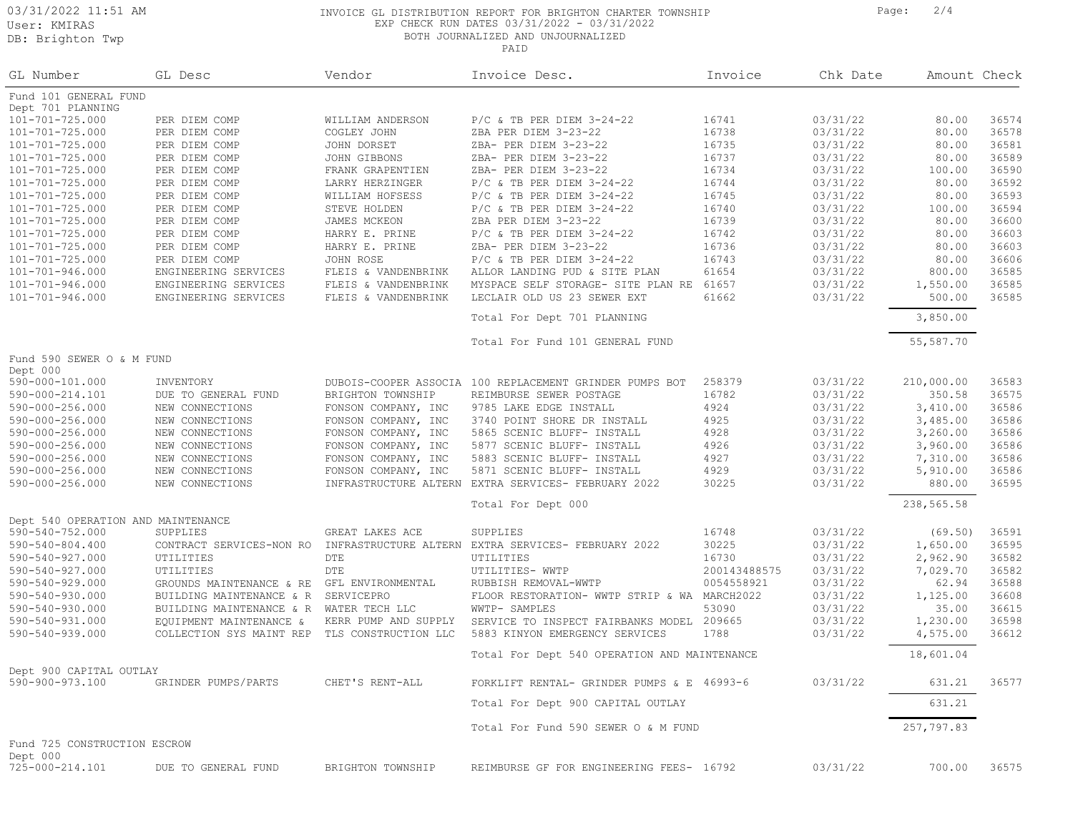DB: Brighton Twp

## 03/31/2022 11:51 AM **INVOICE GL DISTRIBUTION REPORT FOR BRIGHTON CHARTER TOWNSHIP** Page: 2/4 EXP CHECK RUN DATES 03/31/2022 - 03/31/2022 BOTH JOURNALIZED AND UNJOURNALIZED

| GL Number                                | GL Desc                                      | Vendor                                     | Invoice Desc.                                                     | Invoice        | Chk Date             | Amount Check       |                |
|------------------------------------------|----------------------------------------------|--------------------------------------------|-------------------------------------------------------------------|----------------|----------------------|--------------------|----------------|
| Fund 101 GENERAL FUND                    |                                              |                                            |                                                                   |                |                      |                    |                |
| Dept 701 PLANNING                        |                                              |                                            |                                                                   |                |                      |                    |                |
| 101-701-725.000                          | PER DIEM COMP                                | WILLIAM ANDERSON                           | $P/C$ & TB PER DIEM 3-24-22                                       | 16741          | 03/31/22             | 80.00              | 36574          |
| 101-701-725.000                          | PER DIEM COMP                                | COGLEY JOHN                                | ZBA PER DIEM 3-23-22                                              | 16738          | 03/31/22             | 80.00              | 36578          |
| 101-701-725.000                          | PER DIEM COMP                                | JOHN DORSET                                | ZBA- PER DIEM 3-23-22<br>ZBA- PER DIEM 3-23-22                    | 16735          | 03/31/22             | 80.00              | 36581          |
| 101-701-725.000                          | PER DIEM COMP                                | JOHN GIBBONS                               |                                                                   | 16737          | 03/31/22             | 80.00              | 36589<br>36590 |
| 101-701-725.000                          | PER DIEM COMP                                | FRANK GRAPENTIEN                           | ZBA- PER DIEM 3-23-22                                             | 16734          | 03/31/22             | 100.00             | 36592          |
| 101-701-725.000                          | PER DIEM COMP                                | LARRY HERZINGER                            | $P/C$ & TB PER DIEM 3-24-22                                       | 16744          | 03/31/22             | 80.00              |                |
| 101-701-725.000                          | PER DIEM COMP                                | WILLIAM HOFSESS                            | $P/C$ & TB PER DIEM 3-24-22                                       | 16745          | 03/31/22             | 80.00              | 36593          |
| 101-701-725.000                          | PER DIEM COMP                                | STEVE HOLDEN                               | $P/C$ & TB PER DIEM 3-24-22                                       | 16740          | 03/31/22             | 100.00             | 36594          |
| 101-701-725.000                          | PER DIEM COMP                                | JAMES MCKEON                               | ZBA PER DIEM 3-23-22                                              | 16739          | 03/31/22             | 80.00              | 36600          |
| 101-701-725.000                          | PER DIEM COMP                                | HARRY E. PRINE                             | $P/C$ & TB PER DIEM $3-24-22$                                     | 16742          | 03/31/22             | 80.00              | 36603          |
| $101 - 701 - 725.000$                    | PER DIEM COMP                                | HARRY E. PRINE                             | ZBA- PER DIEM 3-23-22                                             | 16736          | 03/31/22             | 80.00              | 36603          |
| 101-701-725.000                          | PER DIEM COMP                                | JOHN ROSE                                  | $P/C$ & TB PER DIEM 3-24-22                                       | 16743          | 03/31/22             | 80.00              | 36606          |
| 101-701-946.000                          | ENGINEERING SERVICES                         | FLEIS & VANDENBRINK                        | ALLOR LANDING PUD & SITE PLAN                                     | 61654          | 03/31/22             | 800.00             | 36585          |
| 101-701-946.000<br>$101 - 701 - 946.000$ | ENGINEERING SERVICES<br>ENGINEERING SERVICES | FLEIS & VANDENBRINK<br>FLEIS & VANDENBRINK | MYSPACE SELF STORAGE- SITE PLAN RE<br>LECLAIR OLD US 23 SEWER EXT | 61657<br>61662 | 03/31/22<br>03/31/22 | 1,550.00<br>500.00 | 36585<br>36585 |
|                                          |                                              |                                            | Total For Dept 701 PLANNING                                       |                |                      | 3,850.00           |                |
|                                          |                                              |                                            | Total For Fund 101 GENERAL FUND                                   |                |                      | 55,587.70          |                |
| Fund 590 SEWER O & M FUND                |                                              |                                            |                                                                   |                |                      |                    |                |
| Dept 000                                 |                                              |                                            |                                                                   |                |                      |                    |                |
| 590-000-101.000                          | INVENTORY                                    |                                            | DUBOIS-COOPER ASSOCIA 100 REPLACEMENT GRINDER PUMPS BOT           | 258379         | 03/31/22             | 210,000.00         | 36583          |
| 590-000-214.101                          | DUE TO GENERAL FUND                          | BRIGHTON TOWNSHIP                          | REIMBURSE SEWER POSTAGE                                           | 16782          | 03/31/22             | 350.58             | 36575          |
| $590 - 000 - 256.000$                    | NEW CONNECTIONS                              | FONSON COMPANY, INC                        | 9785 LAKE EDGE INSTALL                                            | 4924           | 03/31/22             | 3,410.00           | 36586          |
| 590-000-256.000                          | NEW CONNECTIONS                              | FONSON COMPANY, INC                        | 3740 POINT SHORE DR INSTALL                                       | 4925           | 03/31/22             | 3,485.00           | 36586          |
| $590 - 000 - 256.000$                    | NEW CONNECTIONS                              | FONSON COMPANY, INC                        | 5865 SCENIC BLUFF- INSTALL                                        | 4928           | 03/31/22             | 3,260.00           | 36586          |
| 590-000-256.000                          | NEW CONNECTIONS                              | FONSON COMPANY, INC                        | 5877 SCENIC BLUFF- INSTALL                                        | 4926           | 03/31/22             | 3,960.00           | 36586          |
| 590-000-256.000                          | NEW CONNECTIONS                              | FONSON COMPANY, INC                        | 5883 SCENIC BLUFF- INSTALL                                        | 4927           | 03/31/22             | 7,310.00           | 36586          |
| $590 - 000 - 256.000$                    | NEW CONNECTIONS                              | FONSON COMPANY, INC                        | 5871 SCENIC BLUFF- INSTALL                                        | 4929           | 03/31/22             | 5,910.00           | 36586          |
| $590 - 000 - 256.000$                    | NEW CONNECTIONS                              | INFRASTRUCTURE ALTERN                      | EXTRA SERVICES- FEBRUARY 2022                                     | 30225          | 03/31/22             | 880.00             | 36595          |
|                                          |                                              |                                            | Total For Dept 000                                                |                |                      | 238,565.58         |                |
| Dept 540 OPERATION AND MAINTENANCE       |                                              |                                            |                                                                   |                |                      |                    |                |
| 590-540-752.000                          | SUPPLIES                                     | GREAT LAKES ACE                            | SUPPLIES                                                          | 16748          | 03/31/22             | (69.50)            | 36591          |
| $590 - 540 - 804.400$                    | CONTRACT SERVICES-NON RO                     | INFRASTRUCTURE ALTERN                      | EXTRA SERVICES- FEBRUARY 2022                                     | 30225          | 03/31/22             | 1,650.00           | 36595          |
| 590-540-927.000                          | UTILITIES                                    | DTE                                        | UTILITIES                                                         | 16730          | 03/31/22             | 2,962.90           | 36582          |
| 590-540-927.000                          | UTILITIES                                    | DTE                                        | UTILITIES- WWTP                                                   | 200143488575   | 03/31/22             | 7,029.70           | 36582          |
| $590 - 540 - 929.000$                    | GROUNDS MAINTENANCE & RE                     | GFL ENVIRONMENTAL                          | RUBBISH REMOVAL-WWTP                                              | 0054558921     | 03/31/22             | 62.94              | 36588          |
| 590-540-930.000                          | BUILDING MAINTENANCE & R                     | SERVICEPRO                                 | FLOOR RESTORATION- WWTP STRIP & WA                                | MARCH2022      | 03/31/22             | 1,125.00           | 36608          |
| 590-540-930.000                          | BUILDING MAINTENANCE & R                     | WATER TECH LLC                             | WWTP- SAMPLES                                                     | 53090          | 03/31/22             | 35.00              | 36615          |
| 590-540-931.000                          | EQUIPMENT MAINTENANCE &                      | KERR PUMP AND SUPPLY                       | SERVICE TO INSPECT FAIRBANKS MODEL                                | 209665         | 03/31/22             | 1,230.00           | 36598          |
| 590-540-939.000                          | COLLECTION SYS MAINT REP                     | TLS CONSTRUCTION LLC                       | 5883 KINYON EMERGENCY SERVICES                                    | 1788           | 03/31/22             | 4,575.00           | 36612          |
|                                          |                                              |                                            | Total For Dept 540 OPERATION AND MAINTENANCE                      |                |                      | 18,601.04          |                |
| Dept 900 CAPITAL OUTLAY                  |                                              |                                            |                                                                   |                |                      |                    |                |
| 590-900-973.100                          | GRINDER PUMPS/PARTS                          | CHET'S RENT-ALL                            | FORKLIFT RENTAL- GRINDER PUMPS & E 46993-6                        |                | 03/31/22             | 631.21             | 36577          |
|                                          |                                              |                                            | Total For Dept 900 CAPITAL OUTLAY                                 |                |                      | 631.21             |                |
|                                          |                                              |                                            | Total For Fund 590 SEWER O & M FUND                               |                |                      | 257,797.83         |                |
| Fund 725 CONSTRUCTION ESCROW<br>Dept 000 |                                              |                                            |                                                                   |                |                      |                    |                |
| 725-000-214.101                          | DUE TO GENERAL FUND                          | BRIGHTON TOWNSHIP                          | REIMBURSE GF FOR ENGINEERING FEES- 16792                          |                | 03/31/22             | 700.00             | 36575          |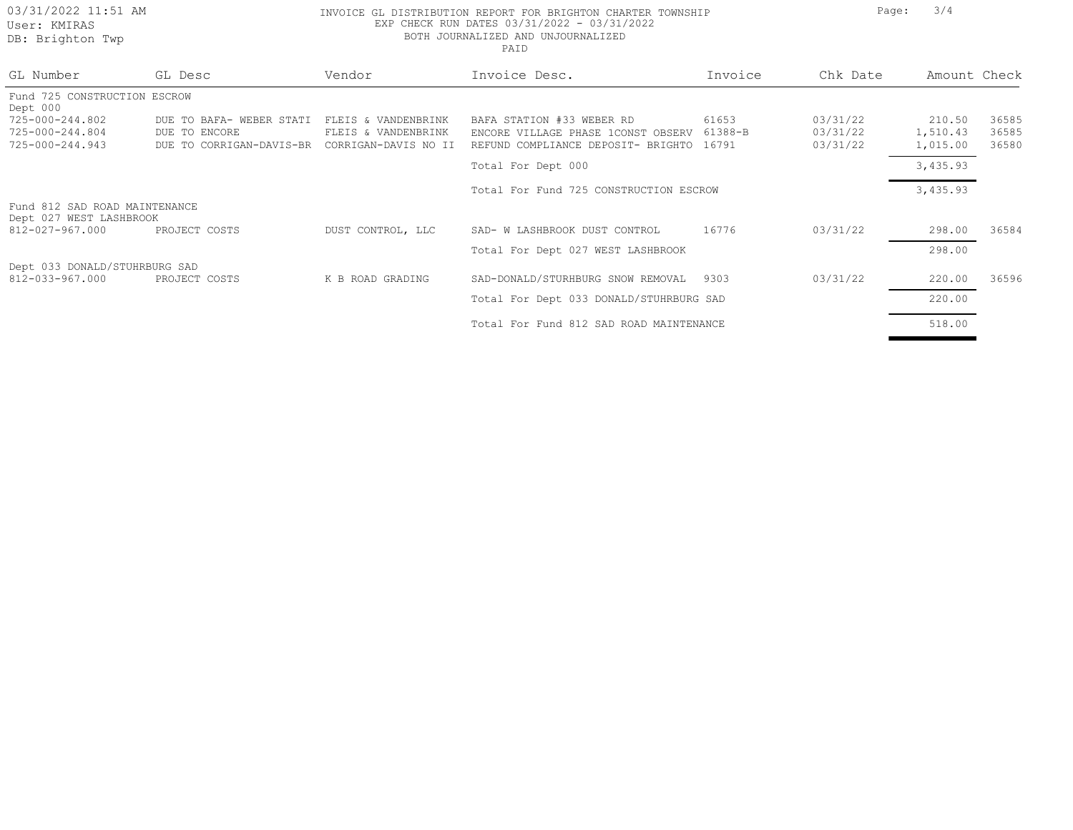# 03/31/2022 11:51 AM **INVOICE GL DISTRIBUTION REPORT FOR BRIGHTON** CHARTER TOWNSHIP Page: 3/4 EXP CHECK RUN DATES 03/31/2022 - 03/31/2022 BOTH JOURNALIZED AND UNJOURNALIZED

 $\blacksquare$ 

| GL Number                                                | GL Desc                                   | Vendor                                     | Invoice Desc.                                                   | Invoice          | Chk Date             | Amount Check       |                |
|----------------------------------------------------------|-------------------------------------------|--------------------------------------------|-----------------------------------------------------------------|------------------|----------------------|--------------------|----------------|
| Fund 725 CONSTRUCTION ESCROW                             |                                           |                                            |                                                                 |                  |                      |                    |                |
| Dept 000<br>725-000-244.802<br>725-000-244.804           | DUE TO BAFA- WEBER STATI<br>DUE TO ENCORE | FLEIS & VANDENBRINK<br>FLEIS & VANDENBRINK | BAFA STATION #33 WEBER RD<br>ENCORE VILLAGE PHASE 1CONST OBSERV | 61653<br>61388-B | 03/31/22<br>03/31/22 | 210.50<br>1,510.43 | 36585<br>36585 |
| 725-000-244.943                                          | DUE TO CORRIGAN-DAVIS-BR                  | CORRIGAN-DAVIS NO II                       | REFUND COMPLIANCE DEPOSIT- BRIGHTO                              | 16791            | 03/31/22             | 1,015.00           | 36580          |
|                                                          |                                           |                                            | Total For Dept 000                                              |                  |                      | 3,435.93           |                |
|                                                          |                                           |                                            | Total For Fund 725 CONSTRUCTION ESCROW                          |                  |                      | 3,435.93           |                |
| Fund 812 SAD ROAD MAINTENANCE<br>Dept 027 WEST LASHBROOK |                                           |                                            |                                                                 |                  |                      |                    |                |
| 812-027-967.000                                          | PROJECT COSTS                             | DUST CONTROL, LLC                          | SAD- W LASHBROOK DUST CONTROL                                   | 16776            | 03/31/22             | 298.00             | 36584          |
|                                                          |                                           |                                            | Total For Dept 027 WEST LASHBROOK                               |                  |                      | 298.00             |                |
| Dept 033 DONALD/STUHRBURG SAD<br>812-033-967.000         | PROJECT COSTS                             | K B ROAD GRADING                           | SAD-DONALD/STURHBURG SNOW REMOVAL                               | 9303             | 03/31/22             | 220.00             | 36596          |
|                                                          |                                           |                                            | Total For Dept 033 DONALD/STUHRBURG SAD                         |                  |                      | 220.00             |                |
|                                                          |                                           |                                            | Total For Fund 812 SAD ROAD MAINTENANCE                         |                  |                      | 518.00             |                |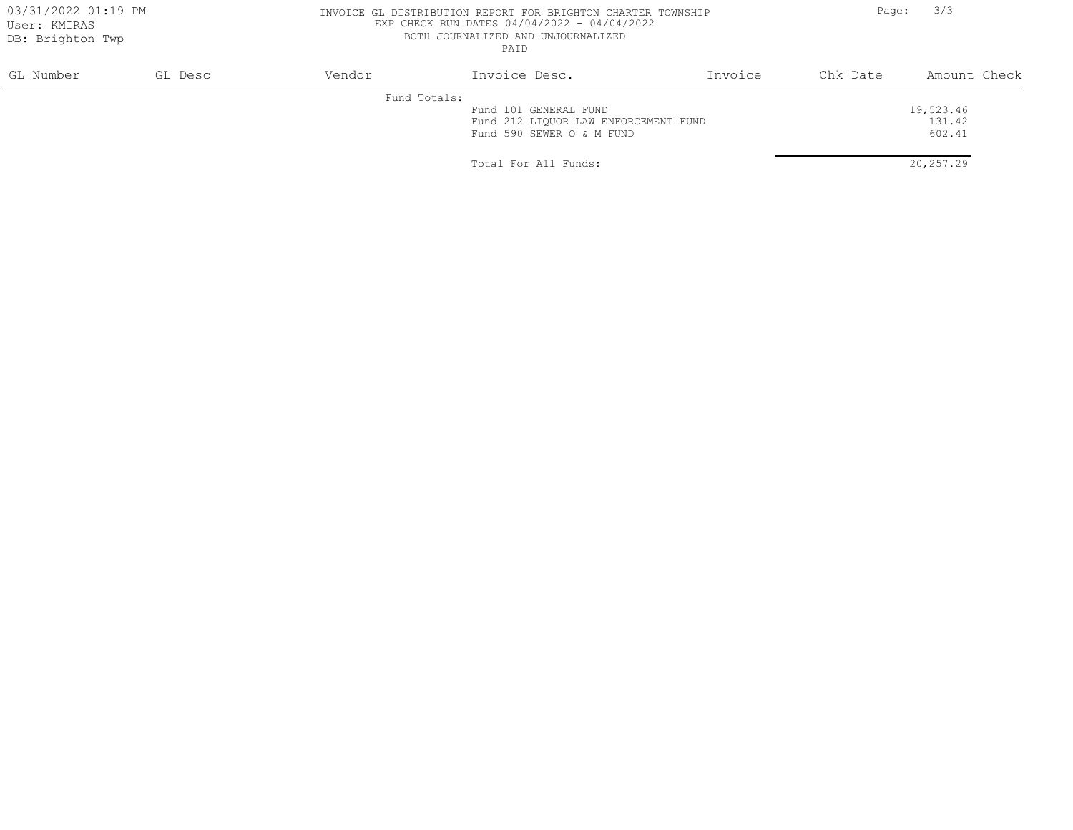### 03/31/2022 01:19 PM **INVOICE GL DISTRIBUTION REPORT FOR BRIGHTON** CHARTER TOWNSHIP Page: 3/3 EXP CHECK RUN DATES 04/04/2022 - 04/04/2022 BOTH JOURNALIZED AND UNJOURNALIZED PAID

| GL Number | GL Desc | Vendor       | Invoice Desc.                        | Invoice | Chk Date | Amount Check |
|-----------|---------|--------------|--------------------------------------|---------|----------|--------------|
|           |         | Fund Totals: |                                      |         |          |              |
|           |         |              | Fund 101 GENERAL FUND                |         |          | 19,523.46    |
|           |         |              | Fund 212 LIQUOR LAW ENFORCEMENT FUND |         |          | 131.42       |
|           |         |              | Fund 590 SEWER O & M FUND            |         |          | 602.41       |
|           |         |              |                                      |         |          |              |
|           |         |              | Total For All Funds:                 |         |          | 20,257.29    |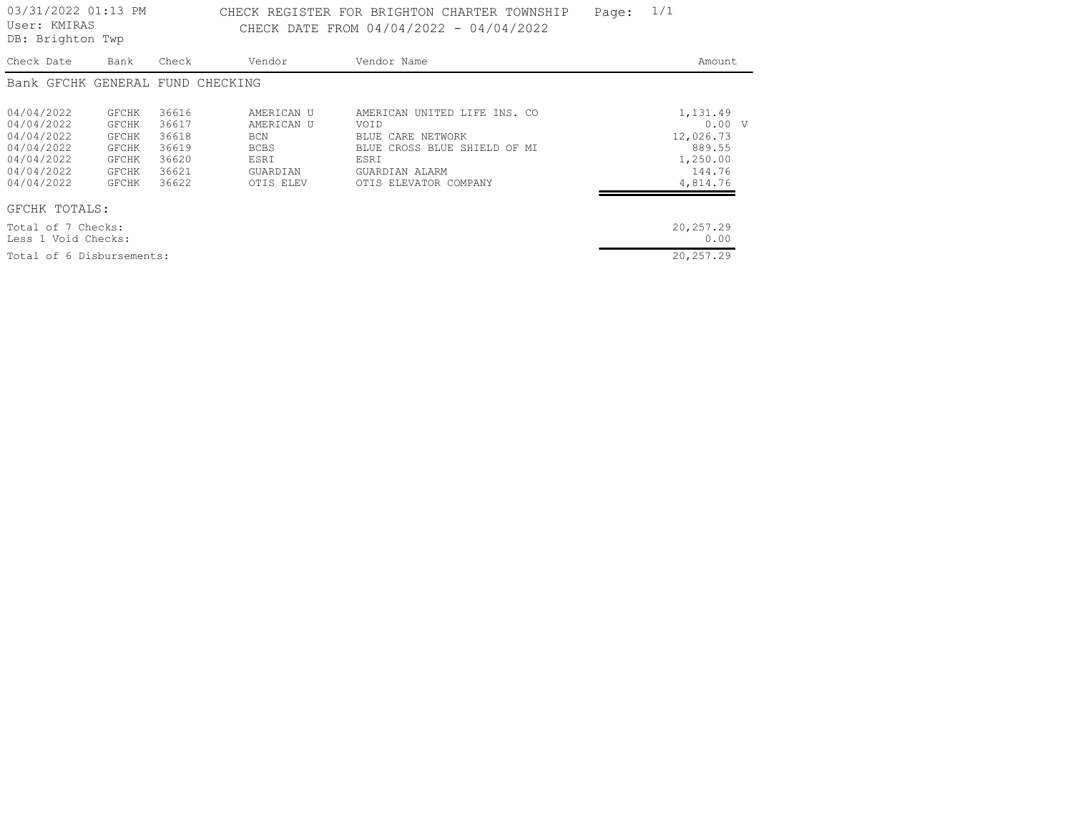DB: Brighton Twp

# 03/31/2022 01:13 PM CHECK REGISTER FOR BRIGHTON CHARTER TOWNSHIP Page:  $1/1$ CHECK DATE FROM 04/04/2022 - 04/04/2022

| Check Date          | Bank         | Check                            | Vendor      | Vendor Name                      | Amount    |
|---------------------|--------------|----------------------------------|-------------|----------------------------------|-----------|
|                     |              | Bank GFCHK GENERAL FUND CHECKING |             |                                  |           |
|                     |              |                                  |             |                                  |           |
| 04/04/2022          | GFCHK        | 36616                            | AMERICAN U  | AMERICAN UNITED LIFE INS. CO     | 1,131.49  |
| 04/04/2022          | GFCHK        | 36617                            | AMERICAN U  | VOID                             | 0.00 V    |
| 04/04/2022          | GFCHK        | 36618                            | <b>BCN</b>  | CARE NETWORK<br>BLUE.            | 12,026.73 |
| 04/04/2022          | GFCHK        | 36619                            | <b>BCBS</b> | CROSS BLUE SHIELD OF MI<br>BLUE. | 889.55    |
| 04/04/2022          | <b>GFCHK</b> | 36620                            | ESRI        | ESRI                             | 1,250.00  |
| 04/04/2022          | <b>GFCHK</b> | 36621                            | GUARDIAN    | GUARDIAN ALARM                   | 144.76    |
| 04/04/2022          | <b>GFCHK</b> | 36622                            | OTIS ELEV   | OTIS ELEVATOR COMPANY            | 4,814.76  |
| GFCHK TOTALS:       |              |                                  |             |                                  |           |
| Total of 7 Checks:  |              |                                  |             |                                  | 20,257.29 |
| Less 1 Void Checks: |              |                                  |             |                                  | 0.00      |

Total of 6 Disbursements: 20,257.29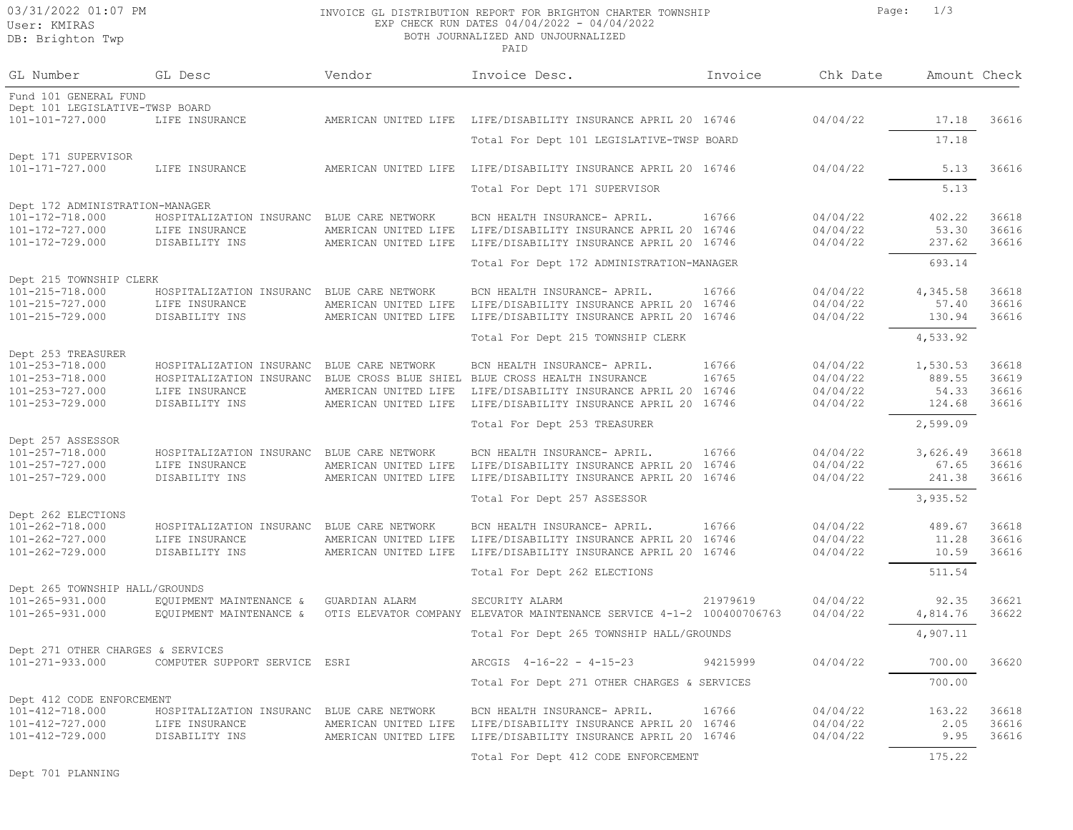# DB: Brighton Twp

## 03/31/2022 01:07 PM **INVOICE GL DISTRIBUTION REPORT FOR BRIGHTON** CHARTER TOWNSHIP Page: 1/3 EXP CHECK RUN DATES 04/04/2022 - 04/04/2022

BOTH JOURNALIZED AND UNJOURNALIZED

| GL Number                                          | GL Desc                                              | Vendor                                       | Invoice Desc.                                                                        | Invoice        | Chk Date             | Amount Check       |                |
|----------------------------------------------------|------------------------------------------------------|----------------------------------------------|--------------------------------------------------------------------------------------|----------------|----------------------|--------------------|----------------|
| Fund 101 GENERAL FUND                              |                                                      |                                              |                                                                                      |                |                      |                    |                |
| Dept 101 LEGISLATIVE-TWSP BOARD<br>101-101-727.000 | LIFE INSURANCE                                       | AMERICAN UNITED LIFE                         | LIFE/DISABILITY INSURANCE APRIL 20 16746                                             |                | 04/04/22             | 17.18              | 36616          |
|                                                    |                                                      |                                              | Total For Dept 101 LEGISLATIVE-TWSP BOARD                                            |                |                      | 17.18              |                |
| Dept 171 SUPERVISOR<br>101-171-727.000             | LIFE INSURANCE                                       | AMERICAN UNITED LIFE                         | LIFE/DISABILITY INSURANCE APRIL 20 16746                                             |                | 04/04/22             | 5.13               | 36616          |
|                                                    |                                                      |                                              | Total For Dept 171 SUPERVISOR                                                        |                |                      | 5.13               |                |
| Dept 172 ADMINISTRATION-MANAGER<br>101-172-718.000 |                                                      |                                              |                                                                                      | 16766          | 04/04/22             | 402.22             | 36618          |
| 101-172-727.000                                    | HOSPITALIZATION INSURANC<br>LIFE INSURANCE           | BLUE CARE NETWORK<br>AMERICAN UNITED LIFE    | BCN HEALTH INSURANCE- APRIL.<br>LIFE/DISABILITY INSURANCE APRIL 20 16746             |                | 04/04/22             | 53.30              | 36616          |
| 101-172-729.000                                    | DISABILITY INS                                       | AMERICAN UNITED LIFE                         | LIFE/DISABILITY INSURANCE APRIL 20 16746                                             |                | 04/04/22             | 237.62             | 36616          |
|                                                    |                                                      |                                              | Total For Dept 172 ADMINISTRATION-MANAGER                                            |                |                      | 693.14             |                |
| Dept 215 TOWNSHIP CLERK                            |                                                      |                                              |                                                                                      |                |                      |                    |                |
| 101-215-718.000                                    | HOSPITALIZATION INSURANC                             | BLUE CARE NETWORK                            | BCN HEALTH INSURANCE- APRIL.                                                         | 16766          | 04/04/22             | 4,345.58           | 36618          |
| 101-215-727.000<br>101-215-729.000                 | LIFE INSURANCE<br>DISABILITY INS                     | AMERICAN UNITED LIFE<br>AMERICAN UNITED LIFE | LIFE/DISABILITY INSURANCE APRIL 20 16746<br>LIFE/DISABILITY INSURANCE APRIL 20 16746 |                | 04/04/22<br>04/04/22 | 57.40<br>130.94    | 36616<br>36616 |
|                                                    |                                                      |                                              | Total For Dept 215 TOWNSHIP CLERK                                                    |                |                      | 4,533.92           |                |
| Dept 253 TREASURER                                 |                                                      |                                              |                                                                                      |                |                      |                    |                |
| 101-253-718.000<br>101-253-718.000                 | HOSPITALIZATION INSURANC<br>HOSPITALIZATION INSURANC | BLUE CARE NETWORK                            | BCN HEALTH INSURANCE- APRIL.<br>BLUE CROSS BLUE SHIEL BLUE CROSS HEALTH INSURANCE    | 16766<br>16765 | 04/04/22<br>04/04/22 | 1,530.53<br>889.55 | 36618<br>36619 |
| 101-253-727.000                                    | LIFE INSURANCE                                       | AMERICAN UNITED LIFE                         | LIFE/DISABILITY INSURANCE APRIL 20 16746                                             |                | 04/04/22             | 54.33              | 36616          |
| 101-253-729.000                                    | DISABILITY INS                                       | AMERICAN UNITED LIFE                         | LIFE/DISABILITY INSURANCE APRIL 20 16746                                             |                | 04/04/22             | 124.68             | 36616          |
|                                                    |                                                      |                                              | Total For Dept 253 TREASURER                                                         |                |                      | 2,599.09           |                |
| Dept 257 ASSESSOR                                  |                                                      |                                              |                                                                                      |                |                      |                    |                |
| 101-257-718.000<br>101-257-727.000                 | HOSPITALIZATION INSURANC<br>LIFE INSURANCE           | BLUE CARE NETWORK<br>AMERICAN UNITED LIFE    | BCN HEALTH INSURANCE- APRIL.<br>LIFE/DISABILITY INSURANCE APRIL 20 16746             | 16766          | 04/04/22<br>04/04/22 | 3,626.49<br>67.65  | 36618<br>36616 |
| 101-257-729.000                                    | DISABILITY INS                                       | AMERICAN UNITED LIFE                         | LIFE/DISABILITY INSURANCE APRIL 20 16746                                             |                | 04/04/22             | 241.38             | 36616          |
|                                                    |                                                      |                                              | Total For Dept 257 ASSESSOR                                                          |                |                      | 3,935.52           |                |
| Dept 262 ELECTIONS                                 |                                                      |                                              |                                                                                      |                |                      |                    |                |
| 101-262-718.000                                    | HOSPITALIZATION INSURANC                             | BLUE CARE NETWORK                            | BCN HEALTH INSURANCE- APRIL.                                                         | 16766          | 04/04/22             | 489.67             | 36618          |
| 101-262-727.000                                    | LIFE INSURANCE                                       | AMERICAN UNITED LIFE                         | LIFE/DISABILITY INSURANCE APRIL 20 16746                                             |                | 04/04/22             | 11.28              | 36616          |
| 101-262-729.000                                    | DISABILITY INS                                       | AMERICAN UNITED LIFE                         | LIFE/DISABILITY INSURANCE APRIL 20 16746                                             |                | 04/04/22             | 10.59              | 36616          |
|                                                    |                                                      |                                              | Total For Dept 262 ELECTIONS                                                         |                |                      | 511.54             |                |
| Dept 265 TOWNSHIP HALL/GROUNDS<br>101-265-931.000  | EQUIPMENT MAINTENANCE &                              | GUARDIAN ALARM                               | SECURITY ALARM                                                                       | 21979619       | 04/04/22             | 92.35              | 36621          |
| 101-265-931.000                                    | EQUIPMENT MAINTENANCE &                              |                                              | OTIS ELEVATOR COMPANY ELEVATOR MAINTENANCE SERVICE 4-1-2 100400706763                |                | 04/04/22             | 4,814.76           | 36622          |
|                                                    |                                                      |                                              | Total For Dept 265 TOWNSHIP HALL/GROUNDS                                             |                |                      | 4,907.11           |                |
| Dept 271 OTHER CHARGES & SERVICES                  |                                                      |                                              |                                                                                      |                |                      |                    |                |
| 101-271-933.000                                    | COMPUTER SUPPORT SERVICE                             | ESRI                                         | ARCGIS 4-16-22 - 4-15-23                                                             | 94215999       | 04/04/22             | 700.00             | 36620          |
|                                                    |                                                      |                                              | Total For Dept 271 OTHER CHARGES & SERVICES                                          |                |                      | 700.00             |                |
| Dept 412 CODE ENFORCEMENT<br>101-412-718.000       | HOSPITALIZATION INSURANC                             | BLUE CARE NETWORK                            | BCN HEALTH INSURANCE- APRIL.                                                         | 16766          | 04/04/22             | 163.22             | 36618          |
| 101-412-727.000                                    | LIFE INSURANCE                                       | AMERICAN UNITED LIFE                         | LIFE/DISABILITY INSURANCE APRIL 20 16746                                             |                | 04/04/22             | 2.05               | 36616          |
| 101-412-729.000                                    | DISABILITY INS                                       | AMERICAN UNITED LIFE                         | LIFE/DISABILITY INSURANCE APRIL 20 16746                                             |                | 04/04/22             | 9.95               | 36616          |
|                                                    |                                                      |                                              | Total For Dept 412 CODE ENFORCEMENT                                                  |                |                      | 175.22             |                |